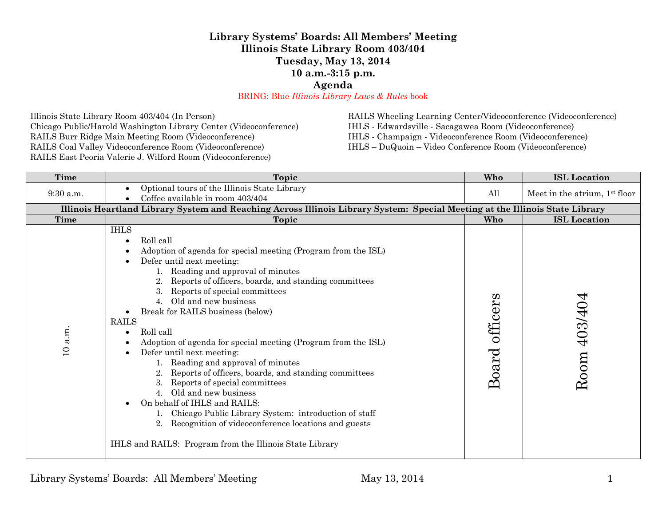## **Library Systems' Boards: All Members' Meeting Illinois State Library Room 403/404 Tuesday, May 13, 2014 10 a.m.-3:15 p.m.**

**Agenda**

BRING: Blue *Illinois Library Laws & Rules* book

Illinois State Library Room 403/404 (In Person) Chicago Public/Harold Washington Library Center (Videoconference) RAILS Burr Ridge Main Meeting Room (Videoconference) RAILS Coal Valley Videoconference Room (Videoconference) RAILS East Peoria Valerie J. Wilford Room (Videoconference)

RAILS Wheeling Learning Center/Videoconference (Videoconference)

IHLS - Edwardsville - Sacagawea Room (Videoconference)

IHLS - Champaign - Videoconference Room (Videoconference)

IHLS – DuQuoin – Video Conference Room (Videoconference)

| Time                   | Topic                                                                                                                                                                                                                                                                                                                                                                                                                                                                                                                                                                                                                                                                                                                                                                                                                                                                                | Who               | <b>ISL</b> Location                       |
|------------------------|--------------------------------------------------------------------------------------------------------------------------------------------------------------------------------------------------------------------------------------------------------------------------------------------------------------------------------------------------------------------------------------------------------------------------------------------------------------------------------------------------------------------------------------------------------------------------------------------------------------------------------------------------------------------------------------------------------------------------------------------------------------------------------------------------------------------------------------------------------------------------------------|-------------------|-------------------------------------------|
| $9:30$ a.m.            | Optional tours of the Illinois State Library<br>Coffee available in room 403/404                                                                                                                                                                                                                                                                                                                                                                                                                                                                                                                                                                                                                                                                                                                                                                                                     | All               | Meet in the atrium, 1 <sup>st</sup> floor |
|                        | Illinois Heartland Library System and Reaching Across Illinois Library System: Special Meeting at the Illinois State Library                                                                                                                                                                                                                                                                                                                                                                                                                                                                                                                                                                                                                                                                                                                                                         |                   |                                           |
| <b>Time</b>            | Topic                                                                                                                                                                                                                                                                                                                                                                                                                                                                                                                                                                                                                                                                                                                                                                                                                                                                                | Who               | <b>ISL</b> Location                       |
| a.m.<br>$\overline{a}$ | <b>IHLS</b><br>Roll call<br>$\bullet$<br>Adoption of agenda for special meeting (Program from the ISL)<br>Defer until next meeting:<br>Reading and approval of minutes<br>Reports of officers, boards, and standing committees<br>Reports of special committees<br>Old and new business<br>4.<br>Break for RAILS business (below)<br><b>RAILS</b><br>Roll call<br>Adoption of agenda for special meeting (Program from the ISL)<br>Defer until next meeting:<br>$\bullet$<br>Reading and approval of minutes<br>Reports of officers, boards, and standing committees<br>$\overline{2}$ .<br>Reports of special committees<br>Old and new business<br>4.<br>On behalf of IHLS and RAILS:<br>$\bullet$<br>Chicago Public Library System: introduction of staff<br>Recognition of videoconference locations and guests<br>2.<br>IHLS and RAILS: Program from the Illinois State Library | officers<br>Board | 403/404<br>Room                           |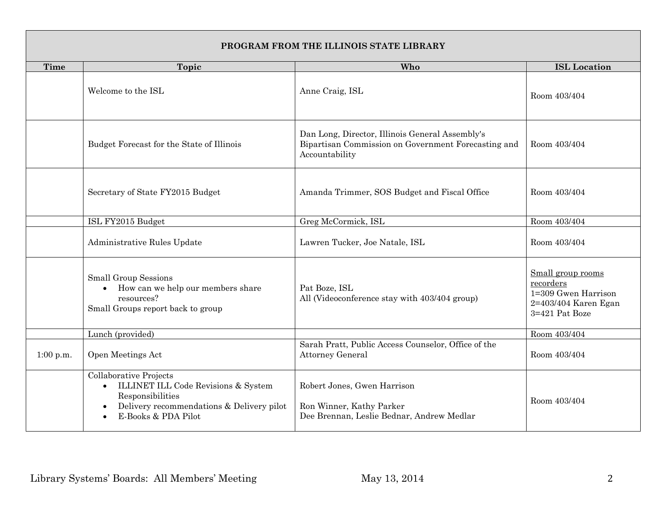| PROGRAM FROM THE ILLINOIS STATE LIBRARY                |                                                                                                                                                       |                                                                                                                          |                                                                                                 |  |  |
|--------------------------------------------------------|-------------------------------------------------------------------------------------------------------------------------------------------------------|--------------------------------------------------------------------------------------------------------------------------|-------------------------------------------------------------------------------------------------|--|--|
| Time                                                   | <b>Topic</b>                                                                                                                                          | Who                                                                                                                      | <b>ISL</b> Location                                                                             |  |  |
|                                                        | Welcome to the ISL                                                                                                                                    | Anne Craig, ISL                                                                                                          | Room 403/404                                                                                    |  |  |
|                                                        | Budget Forecast for the State of Illinois                                                                                                             | Dan Long, Director, Illinois General Assembly's<br>Bipartisan Commission on Government Forecasting and<br>Accountability | Room 403/404                                                                                    |  |  |
|                                                        | Secretary of State FY2015 Budget                                                                                                                      | Amanda Trimmer, SOS Budget and Fiscal Office                                                                             | Room 403/404                                                                                    |  |  |
|                                                        | ISL FY2015 Budget                                                                                                                                     | Greg McCormick, ISL                                                                                                      | Room 403/404                                                                                    |  |  |
|                                                        | Administrative Rules Update                                                                                                                           | Lawren Tucker, Joe Natale, ISL                                                                                           | Room 403/404                                                                                    |  |  |
| <b>Small Group Sessions</b><br>$\bullet$<br>resources? | How can we help our members share<br>Small Groups report back to group                                                                                | Pat Boze, ISL<br>All (Videoconference stay with 403/404 group)                                                           | Small group rooms<br>recorders<br>1=309 Gwen Harrison<br>2=403/404 Karen Egan<br>3=421 Pat Boze |  |  |
|                                                        | Lunch (provided)                                                                                                                                      |                                                                                                                          | Room 403/404                                                                                    |  |  |
| 1:00 p.m.                                              | Open Meetings Act                                                                                                                                     | Sarah Pratt, Public Access Counselor, Office of the<br><b>Attorney General</b>                                           | Room 403/404                                                                                    |  |  |
|                                                        | Collaborative Projects<br>ILLINET ILL Code Revisions & System<br>Responsibilities<br>Delivery recommendations & Delivery pilot<br>E-Books & PDA Pilot | Robert Jones, Gwen Harrison<br>Ron Winner, Kathy Parker<br>Dee Brennan, Leslie Bednar, Andrew Medlar                     | Room 403/404                                                                                    |  |  |